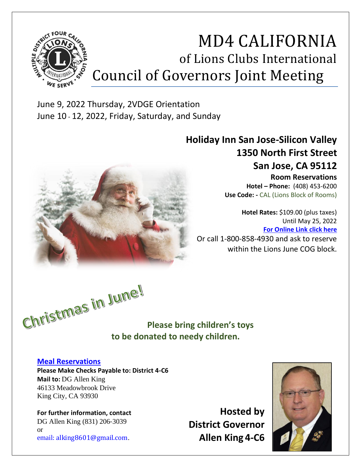

# MD4 CALIFORNIA of Lions Clubs International Council of Governors Joint Meeting

June 9, 2022 Thursday, 2VDGE Orientation June 10 - 12, 2022, Friday, Saturday, and Sunday



# **Holiday Inn San Jose-Silicon Valley 1350 North First Street San Jose, CA 95112**

**Room Reservations Hotel – Phone:** (408) 453-6200 **Use Code: -** CAL (Lions Block of Rooms)

**Hotel Rates:** \$109.00 (plus taxes) Until May 25, 2022 **[For Online Link click here](https://www.ihg.com/holidayinn/hotels/us/en/san-jose/sjccc/hoteldetail?fromRedirect=true&qSrt=sBR&qIta=99801505&icdv=99801505&qSlH=SJCCC&qGrpCd=CAL&setPMCookies=true&qSHBrC=HI&qDest=1350%20North%201st%20Street,%20San%20Jose,%20CA,%20US&srb_u=1)** Or call 1-800-858-4930 and ask to reserve within the Lions June COG block.

**to be donated to needy children.**

**Please bring children's toys** 

## **[Meal Reservations](http://events.constantcontact.com/register/event?llr=ljxvm8iab&oeidk=a07ej3ezl0fefa4ebf0)**

**Please Make Checks Payable to: District 4-C6 Mail to:** DG Allen King 46133 Meadowbrook Drive King City, CA 93930

**For further information, contact**  DG Allen King (831) 206-3039 or email: alking8601@gmail.com.

**Hosted by District Governor Allen King 4-C6**

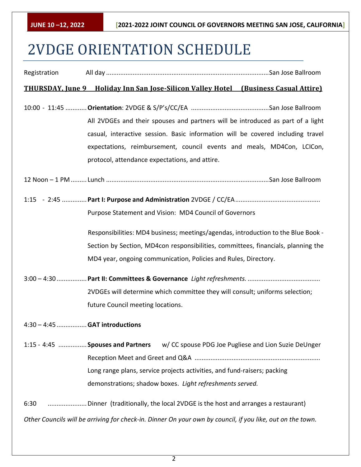# 2VDGE ORIENTATION SCHEDULE

| Registration |                                                                                                                                                                                                                                                                                                |
|--------------|------------------------------------------------------------------------------------------------------------------------------------------------------------------------------------------------------------------------------------------------------------------------------------------------|
|              | <b>THURSDAY, June 9 Holiday Inn San Jose-Silicon Valley Hotel (Business Casual Attire)</b>                                                                                                                                                                                                     |
|              | All 2VDGEs and their spouses and partners will be introduced as part of a light<br>casual, interactive session. Basic information will be covered including travel<br>expectations, reimbursement, council events and meals, MD4Con, LCICon,<br>protocol, attendance expectations, and attire. |
|              |                                                                                                                                                                                                                                                                                                |
|              | Purpose Statement and Vision: MD4 Council of Governors                                                                                                                                                                                                                                         |
|              | Responsibilities: MD4 business; meetings/agendas, introduction to the Blue Book -<br>Section by Section, MD4con responsibilities, committees, financials, planning the                                                                                                                         |
|              | MD4 year, ongoing communication, Policies and Rules, Directory.                                                                                                                                                                                                                                |
|              |                                                                                                                                                                                                                                                                                                |
|              | 2VDGEs will determine which committee they will consult; uniforms selection;                                                                                                                                                                                                                   |
|              | future Council meeting locations.                                                                                                                                                                                                                                                              |
|              | 4:30 - 4:45  GAT introductions                                                                                                                                                                                                                                                                 |
|              | 1:15 - 4:45  Spouses and Partners<br>w/ CC spouse PDG Joe Pugliese and Lion Suzie DeUnger<br>Long range plans, service projects activities, and fund-raisers; packing<br>demonstrations; shadow boxes. Light refreshments served.                                                              |
| 6:30         |                                                                                                                                                                                                                                                                                                |
|              | Other Councils will be arriving for check-in. Dinner On your own by council, if you like, out on the town.                                                                                                                                                                                     |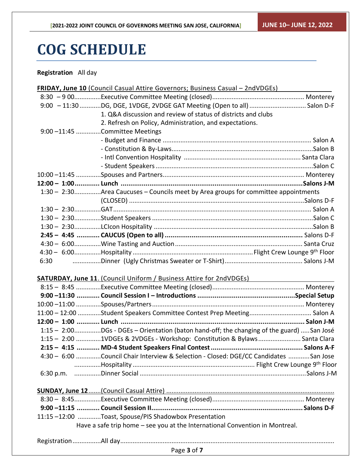# **COG SCHEDULE**

## **Registration** All day

|                | FRIDAY, June 10 (Council Casual Attire Governors; Business Casual - 2ndVDGEs)            |  |
|----------------|------------------------------------------------------------------------------------------|--|
|                |                                                                                          |  |
|                | 9:00 - 11:30 DG, DGE, 1VDGE, 2VDGE GAT Meeting (Open to all)  Salon D-F                  |  |
|                | 1. Q&A discussion and review of status of districts and clubs                            |  |
|                | 2. Refresh on Policy, Administration, and expectations.                                  |  |
| $9:00 - 11:45$ | Committee Meetings                                                                       |  |
|                |                                                                                          |  |
|                |                                                                                          |  |
|                |                                                                                          |  |
|                |                                                                                          |  |
|                |                                                                                          |  |
|                |                                                                                          |  |
|                | 1:30 - 2:30Area Caucuses - Councils meet by Area groups for committee appointments       |  |
|                |                                                                                          |  |
|                |                                                                                          |  |
|                |                                                                                          |  |
|                |                                                                                          |  |
|                |                                                                                          |  |
|                |                                                                                          |  |
|                |                                                                                          |  |
|                |                                                                                          |  |
|                |                                                                                          |  |
|                | SATURDAY, June 11. (Council Uniform / Business Attire for 2ndVDGEs)                      |  |
|                |                                                                                          |  |
|                |                                                                                          |  |
|                |                                                                                          |  |
|                | 11:00 - 12:00 Student Speakers Committee Contest Prep Meeting Salon A                    |  |
|                |                                                                                          |  |
|                | 1:15 - 2:00DGs - DGEs - Orientation (baton hand-off; the changing of the guard) San José |  |
|                | 1:15 - 2:00 1VDGEs & 2VDGEs - Workshop: Constitution & Bylaws  Santa Clara               |  |
|                |                                                                                          |  |
|                | 4:30 - 6:00 Council Chair Interview & Selection - Closed: DGE/CC Candidates San Jose     |  |
|                |                                                                                          |  |
|                |                                                                                          |  |
|                |                                                                                          |  |
|                |                                                                                          |  |
|                |                                                                                          |  |
|                |                                                                                          |  |
|                | 11:15-12:00 Toast, Spouse/PIS Shadowbox Presentation                                     |  |
|                | Have a safe trip home - see you at the International Convention in Montreal.             |  |
|                |                                                                                          |  |
|                |                                                                                          |  |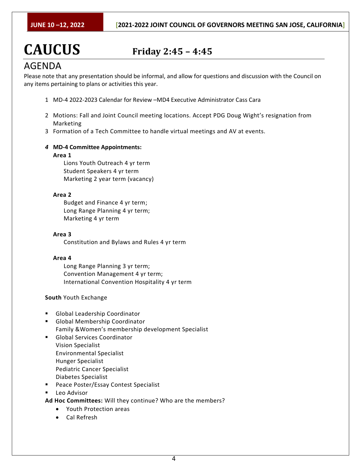# **CAUCUS Friday 2:45 – 4:45**

## AGENDA

Please note that any presentation should be informal, and allow for questions and discussion with the Council on any items pertaining to plans or activities this year.

- 1 MD-4 2022-2023 Calendar for Review –MD4 Executive Administrator Cass Cara
- 2 Motions: Fall and Joint Council meeting locations. Accept PDG Doug Wight's resignation from Marketing
- 3 Formation of a Tech Committee to handle virtual meetings and AV at events.
- *4* **MD-4 Committee Appointments:**

#### **Area 1**

Lions Youth Outreach 4 yr term Student Speakers 4 yr term Marketing 2 year term (vacancy)

### **Area 2**

Budget and Finance 4 yr term; Long Range Planning 4 yr term; Marketing 4 yr term

**Area 3**

Constitution and Bylaws and Rules 4 yr term

#### **Area 4**

Long Range Planning 3 yr term; Convention Management 4 yr term; International Convention Hospitality 4 yr term

## **South** Youth Exchange

- Global Leadership Coordinator
- Global Membership Coordinator Family &Women's membership development Specialist
- Global Services Coordinator Vision Specialist Environmental Specialist Hunger Specialist Pediatric Cancer Specialist Diabetes Specialist
- Peace Poster/Essay Contest Specialist
- Leo Advisor

**Ad Hoc Committees:** Will they continue? Who are the members?

- Youth Protection areas
- Cal Refresh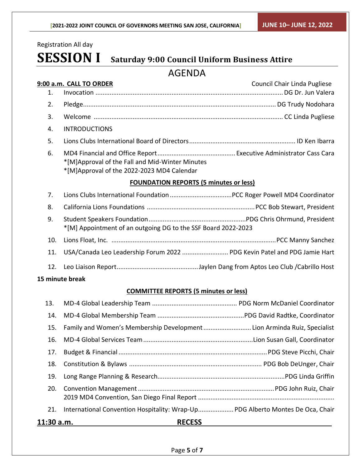Registration All day

# **SESSION I Saturday 9:00 Council Uniform Business Attire**

## AGENDA

|     | 9:00 a.m. CALL TO ORDER                                                                       | Council Chair Linda Pugliese |
|-----|-----------------------------------------------------------------------------------------------|------------------------------|
| 1.  |                                                                                               |                              |
| 2.  |                                                                                               |                              |
| 3.  |                                                                                               |                              |
| 4.  | <b>INTRODUCTIONS</b>                                                                          |                              |
| 5.  |                                                                                               |                              |
| 6.  | *[M]Approval of the Fall and Mid-Winter Minutes<br>*[M]Approval of the 2022-2023 MD4 Calendar |                              |
|     | <b>FOUNDATION REPORTS (5 minutes or less)</b>                                                 |                              |
| 7.  |                                                                                               |                              |
| 8.  |                                                                                               |                              |
| 9.  | *[M] Appointment of an outgoing DG to the SSF Board 2022-2023                                 |                              |
| 10. |                                                                                               |                              |
| 11. | USA/Canada Leo Leadership Forum 2022  PDG Kevin Patel and PDG Jamie Hart                      |                              |
| 12. |                                                                                               |                              |
|     | 15 minute break                                                                               |                              |
|     | <b>COMMITTEE REPORTS (5 minutes or less)</b>                                                  |                              |
| 13. |                                                                                               |                              |
| 14. |                                                                                               |                              |
| 15. | Family and Women's Membership Development Lion Arminda Ruiz, Specialist                       |                              |
| 16. |                                                                                               |                              |
| 17. |                                                                                               |                              |
| 18. |                                                                                               |                              |

19. Long Range Planning & Research........................................................................PDG Linda Griffin 20. Convention Management.............................................................................PDG John Ruiz, Chair 2019 MD4 Convention, San Diego Final Report ............................................................................. 21. International Convention Hospitality: Wrap-Up..................... PDG Alberto Montes De Oca, Chair

**11:30 a.m. RECESS**